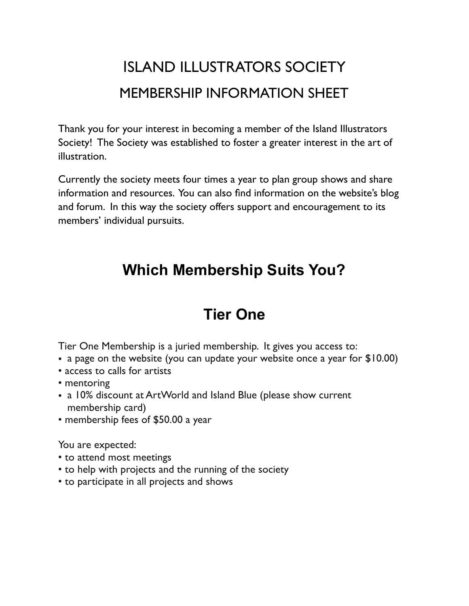## ISLAND ILLUSTRATORS SOCIETY MEMBERSHIP INFORMATION SHEET

Thank you for your interest in becoming a member of the Island Illustrators Society! The Society was established to foster a greater interest in the art of illustration.

Currently the society meets four times a year to plan group shows and share information and resources. You can also find information on the website's blog and forum. In this way the society offers support and encouragement to its members' individual pursuits.

### **Which Membership Suits You?**

### **Tier One**

Tier One Membership is a juried membership. It gives you access to:

- a page on the website (you can update your website once a year for \$10.00)
- access to calls for artists
- mentoring
- a 10% discount at ArtWorld and Island Blue (please show current membership card)
- membership fees of \$50.00 a year

You are expected:

- to attend most meetings
- to help with projects and the running of the society
- to participate in all projects and shows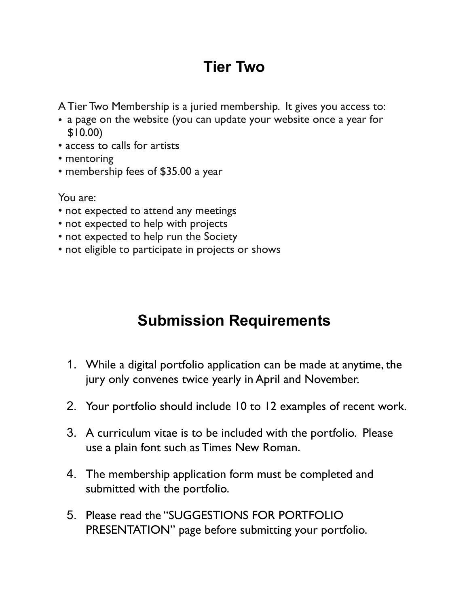## **Tier Two**

A Tier Two Membership is a juried membership. It gives you access to:

- a page on the website (you can update your website once a year for \$10.00)
- access to calls for artists
- mentoring
- membership fees of \$35.00 a year

You are:

- not expected to attend any meetings
- not expected to help with projects
- not expected to help run the Society
- not eligible to participate in projects or shows

## **Submission Requirements**

- 1. While a digital portfolio application can be made at anytime, the jury only convenes twice yearly in April and November.
- 2. Your portfolio should include 10 to 12 examples of recent work.
- 3. A curriculum vitae is to be included with the portfolio. Please use a plain font such as Times New Roman.
- 4. The membership application form must be completed and submitted with the portfolio.
- 5. Please read the "SUGGESTIONS FOR PORTFOLIO PRESENTATION" page before submitting your portfolio.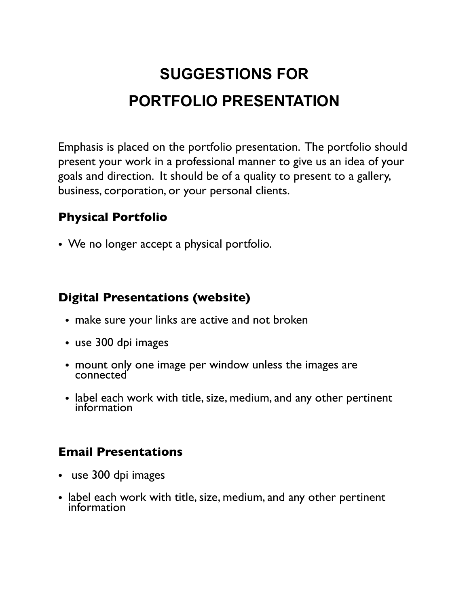## **SUGGESTIONS FOR PORTFOLIO PRESENTATION**

Emphasis is placed on the portfolio presentation. The portfolio should present your work in a professional manner to give us an idea of your goals and direction. It should be of a quality to present to a gallery, business, corporation, or your personal clients.

#### **Physical Portfolio**

• We no longer accept a physical portfolio.

#### **Digital Presentations (website)**

- make sure your links are active and not broken
- use 300 dpi images
- mount only one image per window unless the images are connected
- label each work with title, size, medium, and any other pertinent information

#### **Email Presentations**

- use 300 dpi images
- label each work with title, size, medium, and any other pertinent information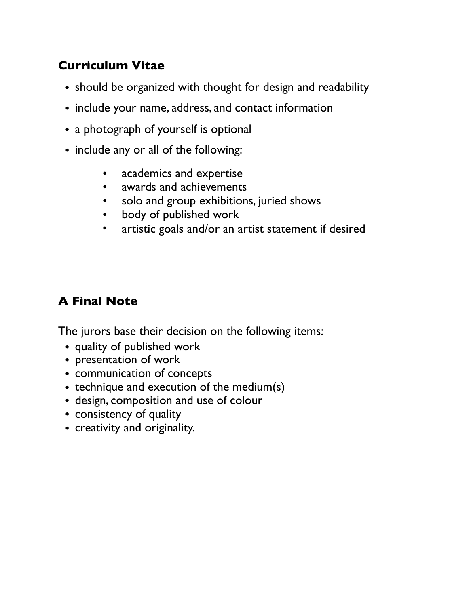#### **Curriculum Vitae**

- should be organized with thought for design and readability
- include your name, address, and contact information
- a photograph of yourself is optional
- include any or all of the following:
	- academics and expertise
	- awards and achievements
	- solo and group exhibitions, juried shows
	- body of published work
	- artistic goals and/or an artist statement if desired

#### **A Final Note**

The jurors base their decision on the following items:

- quality of published work
- presentation of work
- communication of concepts
- technique and execution of the medium(s)
- design, composition and use of colour
- consistency of quality
- creativity and originality.